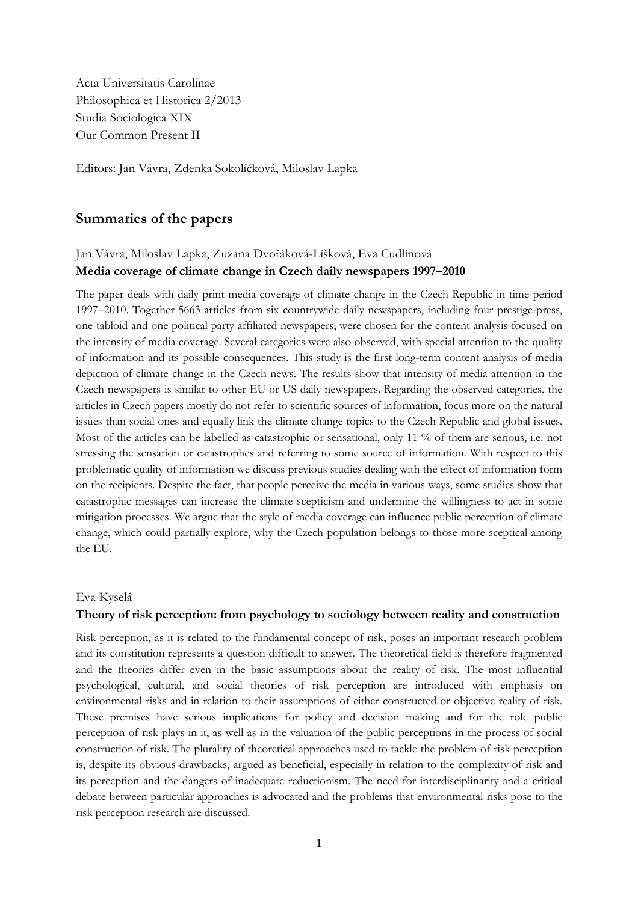Acta Universitatis Carolinae Philosophica et Historica 2/2013 Studia Sociologica XIX Our Common Present II

Editors: Jan Vávra, Zdenka Sokolíčková, Miloslav Lapka

### **Summaries of the papers**

### Jan Vávra, Miloslav Lapka, Zuzana Dvořáková-Líšková, Eva Cudlínová **Media coverage of climate change in Czech daily newspapers 1997–2010**

The paper deals with daily print media coverage of climate change in the Czech Republic in time period 1997–2010. Together 5663 articles from six countrywide daily newspapers, including four prestige-press, one tabloid and one political party affiliated newspapers, were chosen for the content analysis focused on the intensity of media coverage. Several categories were also observed, with special attention to the quality of information and its possible consequences. This study is the first long-term content analysis of media depiction of climate change in the Czech news. The results show that intensity of media attention in the Czech newspapers is similar to other EU or US daily newspapers. Regarding the observed categories, the articles in Czech papers mostly do not refer to scientific sources of information, focus more on the natural issues than social ones and equally link the climate change topics to the Czech Republic and global issues. Most of the articles can be labelled as catastrophic or sensational, only 11 % of them are serious, i.e. not stressing the sensation or catastrophes and referring to some source of information. With respect to this problematic quality of information we discuss previous studies dealing with the effect of information form on the recipients. Despite the fact, that people perceive the media in various ways, some studies show that catastrophic messages can increase the climate scepticism and undermine the willingness to act in some mitigation processes. We argue that the style of media coverage can influence public perception of climate change, which could partially explore, why the Czech population belongs to those more sceptical among the EU.

#### Eva Kyselá

### **Theory of risk perception: from psychology to sociology between reality and construction**

Risk perception, as it is related to the fundamental concept of risk, poses an important research problem and its constitution represents a question difficult to answer. The theoretical field is therefore fragmented and the theories differ even in the basic assumptions about the reality of risk. The most influential psychological, cultural, and social theories of risk perception are introduced with emphasis on environmental risks and in relation to their assumptions of either constructed or objective reality of risk. These premises have serious implications for policy and decision making and for the role public perception of risk plays in it, as well as in the valuation of the public perceptions in the process of social construction of risk. The plurality of theoretical approaches used to tackle the problem of risk perception is, despite its obvious drawbacks, argued as beneficial, especially in relation to the complexity of risk and its perception and the dangers of inadequate reductionism. The need for interdisciplinarity and a critical debate between particular approaches is advocated and the problems that environmental risks pose to the risk perception research are discussed.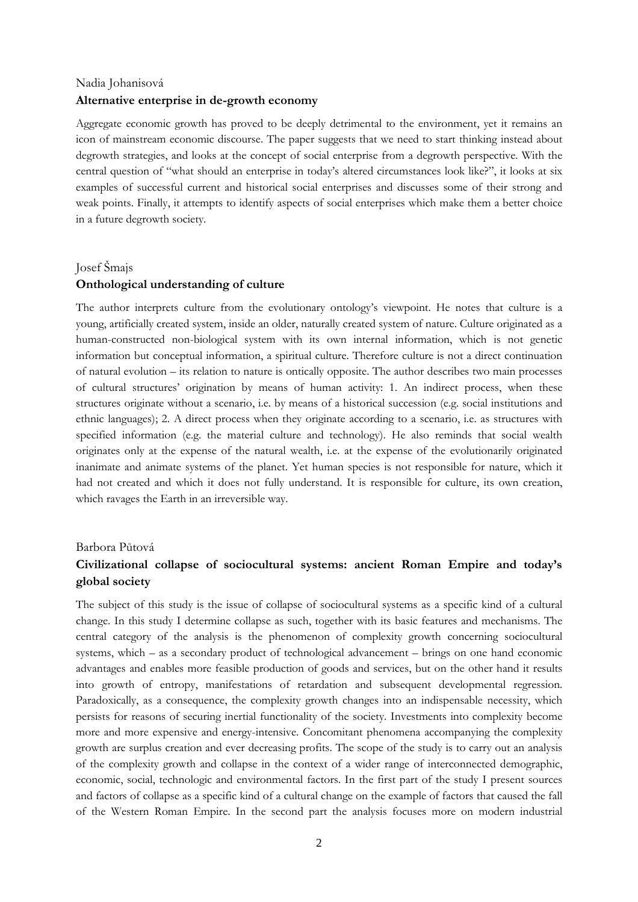# Nadia Johanisová **Alternative enterprise in de-growth economy**

Aggregate economic growth has proved to be deeply detrimental to the environment, yet it remains an icon of mainstream economic discourse. The paper suggests that we need to start thinking instead about degrowth strategies, and looks at the concept of social enterprise from a degrowth perspective. With the central question of "what should an enterprise in today's altered circumstances look like?", it looks at six examples of successful current and historical social enterprises and discusses some of their strong and weak points. Finally, it attempts to identify aspects of social enterprises which make them a better choice in a future degrowth society.

#### Josef Šmajs

### **Onthological understanding of culture**

The author interprets culture from the evolutionary ontology's viewpoint. He notes that culture is a young, artificially created system, inside an older, naturally created system of nature. Culture originated as a human-constructed non-biological system with its own internal information, which is not genetic information but conceptual information, a spiritual culture. Therefore culture is not a direct continuation of natural evolution – its relation to nature is ontically opposite. The author describes two main processes of cultural structures' origination by means of human activity: 1. An indirect process, when these structures originate without a scenario, i.e. by means of a historical succession (e.g. social institutions and ethnic languages); 2. A direct process when they originate according to a scenario, i.e. as structures with specified information (e.g. the material culture and technology). He also reminds that social wealth originates only at the expense of the natural wealth, i.e. at the expense of the evolutionarily originated inanimate and animate systems of the planet. Yet human species is not responsible for nature, which it had not created and which it does not fully understand. It is responsible for culture, its own creation, which ravages the Earth in an irreversible way.

#### Barbora Půtová

# **Civilizational collapse of sociocultural systems: ancient Roman Empire and today's global society**

The subject of this study is the issue of collapse of sociocultural systems as a specific kind of a cultural change. In this study I determine collapse as such, together with its basic features and mechanisms. The central category of the analysis is the phenomenon of complexity growth concerning sociocultural systems, which – as a secondary product of technological advancement – brings on one hand economic advantages and enables more feasible production of goods and services, but on the other hand it results into growth of entropy, manifestations of retardation and subsequent developmental regression. Paradoxically, as a consequence, the complexity growth changes into an indispensable necessity, which persists for reasons of securing inertial functionality of the society. Investments into complexity become more and more expensive and energy-intensive. Concomitant phenomena accompanying the complexity growth are surplus creation and ever decreasing profits. The scope of the study is to carry out an analysis of the complexity growth and collapse in the context of a wider range of interconnected demographic, economic, social, technologic and environmental factors. In the first part of the study I present sources and factors of collapse as a specific kind of a cultural change on the example of factors that caused the fall of the Western Roman Empire. In the second part the analysis focuses more on modern industrial